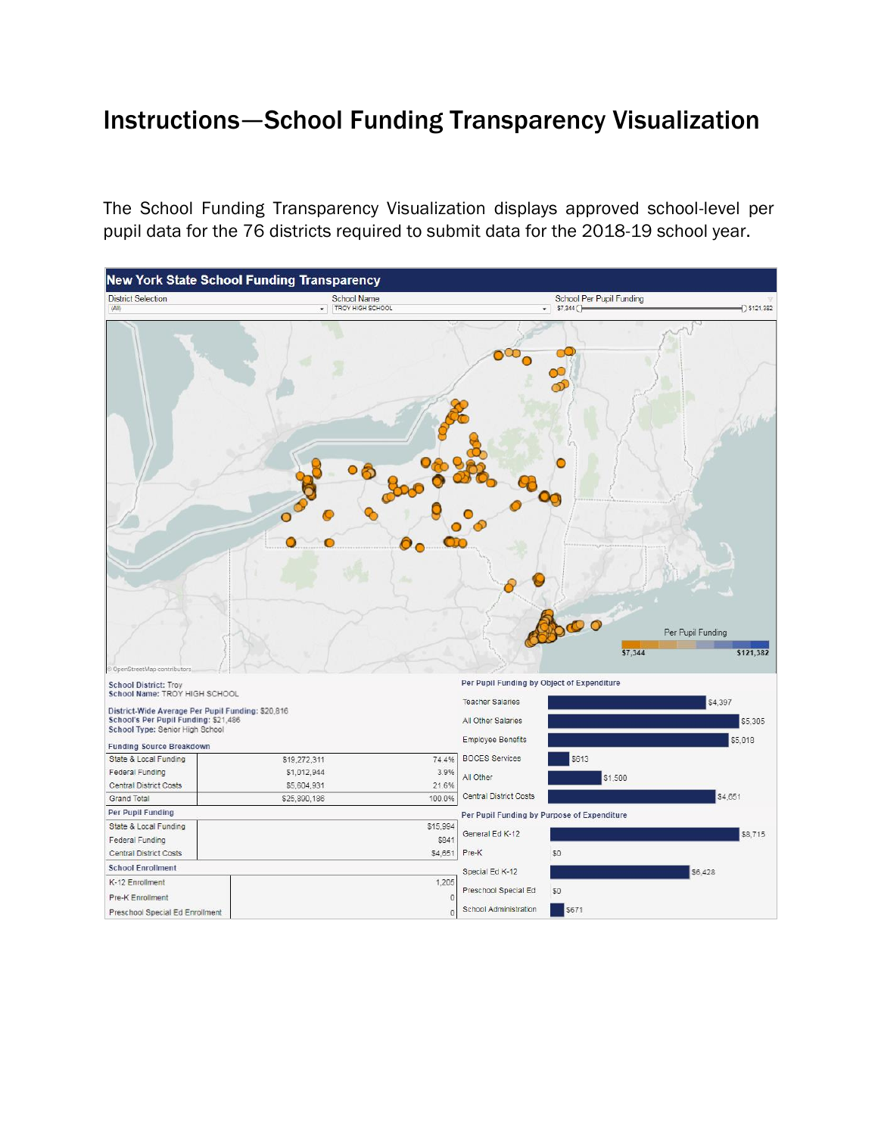## Instructions—School Funding Transparency Visualization

The School Funding Transparency Visualization displays approved school-level per pupil data for the 76 districts required to submit data for the 2018-19 school year.

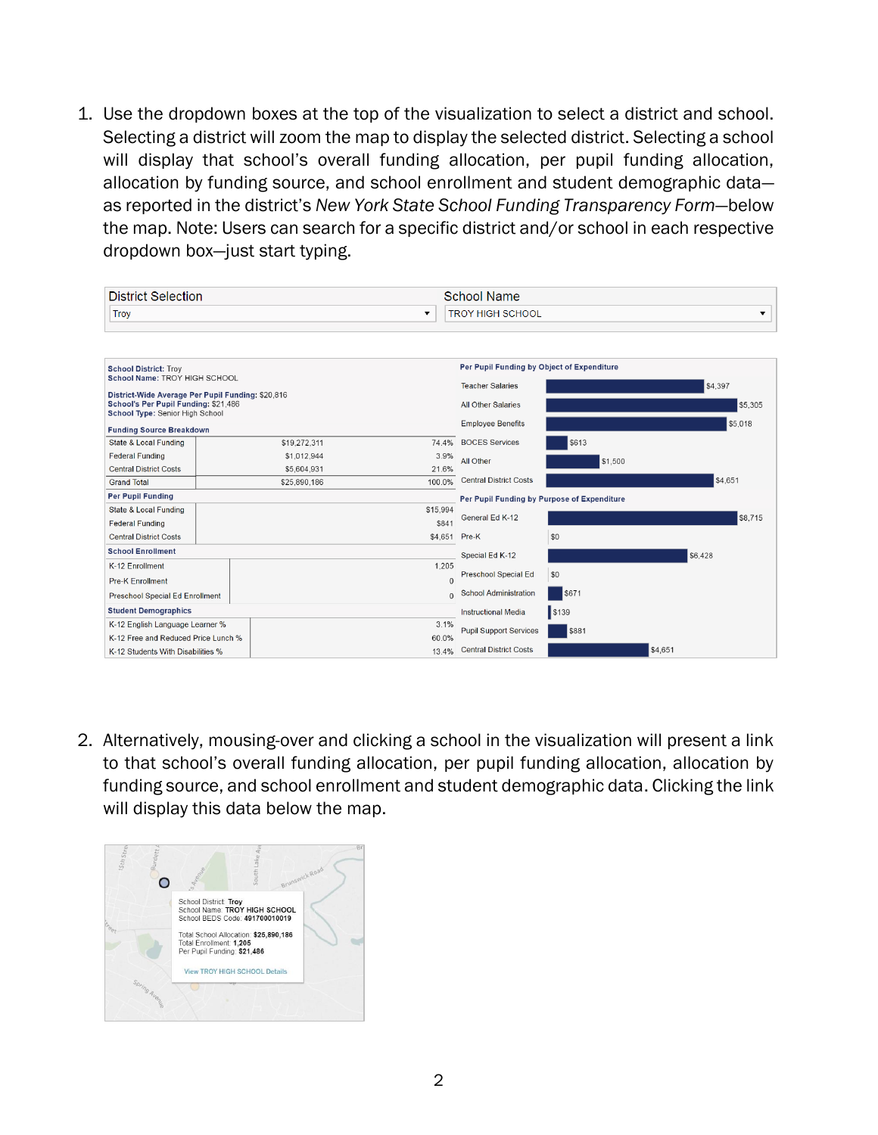1. Use the dropdown boxes at the top of the visualization to select a district and school. Selecting a district will zoom the map to display the selected district. Selecting a school will display that school's overall funding allocation, per pupil funding allocation, allocation by funding source, and school enrollment and student demographic data as reported in the district's *New York State School Funding Transparency Form*—below the map. Note: Users can search for a specific district and/or school in each respective dropdown box—just start typing.

| <b>District Selection</b>                                                                                                                                                                     |  |                     | <b>School Name</b>                                                    |                                             |         |         |
|-----------------------------------------------------------------------------------------------------------------------------------------------------------------------------------------------|--|---------------------|-----------------------------------------------------------------------|---------------------------------------------|---------|---------|
| Troy<br>$\overline{\mathbf{v}}$                                                                                                                                                               |  |                     | <b>TROY HIGH SCHOOL</b><br>▼                                          |                                             |         |         |
|                                                                                                                                                                                               |  |                     |                                                                       |                                             |         |         |
| <b>School District: Troy</b><br>School Name: TROY HIGH SCHOOL<br>District-Wide Average Per Pupil Funding: \$20,816<br>School's Per Pupil Funding: \$21,486<br>School Type: Senior High School |  |                     | Per Pupil Funding by Object of Expenditure<br><b>Teacher Salaries</b> |                                             | \$4,397 |         |
|                                                                                                                                                                                               |  |                     | <b>All Other Salaries</b>                                             |                                             | \$5,305 |         |
| <b>Funding Source Breakdown</b>                                                                                                                                                               |  |                     |                                                                       | <b>Employee Benefits</b>                    |         | \$5,018 |
| <b>State &amp; Local Funding</b>                                                                                                                                                              |  | \$19,272,311        | 74.4%                                                                 | <b>BOCES Services</b>                       | \$613   |         |
| <b>Federal Funding</b>                                                                                                                                                                        |  | 3.9%<br>\$1,012,944 |                                                                       | All Other                                   | \$1,500 |         |
| <b>Central District Costs</b>                                                                                                                                                                 |  | \$5,604,931         | 21.6%                                                                 |                                             |         |         |
| <b>Grand Total</b>                                                                                                                                                                            |  | \$25,890,186        | 100.0%                                                                | <b>Central District Costs</b>               |         | \$4,651 |
| <b>Per Pupil Funding</b>                                                                                                                                                                      |  |                     |                                                                       | Per Pupil Funding by Purpose of Expenditure |         |         |
| State & Local Funding<br><b>Federal Funding</b>                                                                                                                                               |  |                     | \$15,994<br>\$841                                                     | General Ed K-12                             |         | \$8,715 |
| <b>Central District Costs</b>                                                                                                                                                                 |  |                     | \$4,651                                                               | Pre-K                                       | \$0     |         |
| <b>School Enrollment</b>                                                                                                                                                                      |  |                     | Special Ed K-12                                                       |                                             | \$6,428 |         |
| K-12 Enrollment                                                                                                                                                                               |  |                     | 1,205                                                                 |                                             |         |         |
| <b>Pre-K Enrollment</b>                                                                                                                                                                       |  |                     | $\Omega$                                                              | Preschool Special Ed                        | \$0     |         |
| Preschool Special Ed Enrollment                                                                                                                                                               |  |                     | $\Omega$                                                              | <b>School Administration</b>                | \$671   |         |
| <b>Student Demographics</b>                                                                                                                                                                   |  |                     |                                                                       | <b>Instructional Media</b>                  | s139    |         |
| K-12 English Language Learner %<br>3.1%                                                                                                                                                       |  |                     | \$881<br><b>Pupil Support Services</b>                                |                                             |         |         |
| K-12 Free and Reduced Price Lunch %                                                                                                                                                           |  | 60.0%               |                                                                       |                                             |         |         |
| K-12 Students With Disabilities %                                                                                                                                                             |  |                     | 13.4%                                                                 | <b>Central District Costs</b>               |         | \$4,651 |

2. Alternatively, mousing-over and clicking a school in the visualization will present a link to that school's overall funding allocation, per pupil funding allocation, allocation by funding source, and school enrollment and student demographic data. Clicking the link will display this data below the map.